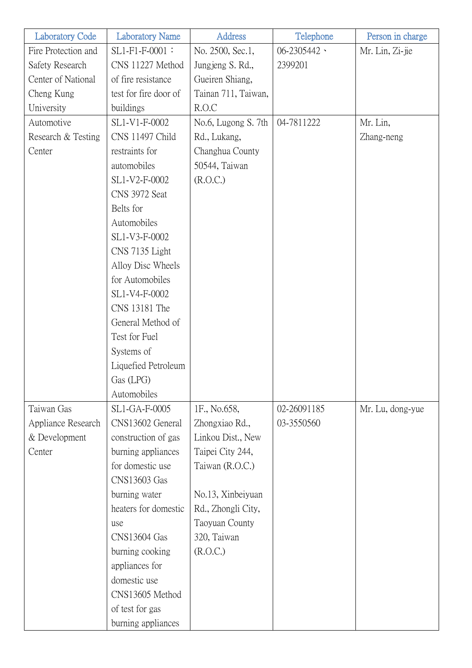| <b>Laboratory Code</b> | <b>Laboratory Name</b> | <b>Address</b>      | Telephone              | Person in charge |
|------------------------|------------------------|---------------------|------------------------|------------------|
| Fire Protection and    | SL1-F1-F-0001:         | No. 2500, Sec.1,    | $06 - 2305442$ $\cdot$ | Mr. Lin, Zi-jie  |
| Safety Research        | CNS 11227 Method       | Jungjeng S. Rd.,    | 2399201                |                  |
| Center of National     | of fire resistance     | Gueiren Shiang,     |                        |                  |
| Cheng Kung             | test for fire door of  | Tainan 711, Taiwan, |                        |                  |
| University             | buildings              | R.O.C               |                        |                  |
| Automotive             | SL1-V1-F-0002          | No.6, Lugong S. 7th | 04-7811222             | Mr. Lin,         |
| Research & Testing     | CNS 11497 Child        | Rd., Lukang,        |                        | Zhang-neng       |
| Center                 | restraints for         | Changhua County     |                        |                  |
|                        | automobiles            | 50544, Taiwan       |                        |                  |
|                        | SL1-V2-F-0002          | (R.O.C.)            |                        |                  |
|                        | CNS 3972 Seat          |                     |                        |                  |
|                        | Belts for              |                     |                        |                  |
|                        | Automobiles            |                     |                        |                  |
|                        | SL1-V3-F-0002          |                     |                        |                  |
|                        | CNS 7135 Light         |                     |                        |                  |
|                        | Alloy Disc Wheels      |                     |                        |                  |
|                        | for Automobiles        |                     |                        |                  |
|                        | SL1-V4-F-0002          |                     |                        |                  |
|                        | CNS 13181 The          |                     |                        |                  |
|                        | General Method of      |                     |                        |                  |
|                        | Test for Fuel          |                     |                        |                  |
|                        | Systems of             |                     |                        |                  |
|                        | Liquefied Petroleum    |                     |                        |                  |
|                        | Gas (LPG)              |                     |                        |                  |
|                        | Automobiles            |                     |                        |                  |
| Taiwan Gas             | SL1-GA-F-0005          | 1F., No.658,        | 02-26091185            | Mr. Lu, dong-yue |
| Appliance Research     | CNS13602 General       | Zhongxiao Rd.,      | 03-3550560             |                  |
| & Development          | construction of gas    | Linkou Dist., New   |                        |                  |
| Center                 | burning appliances     | Taipei City 244,    |                        |                  |
|                        | for domestic use       | Taiwan (R.O.C.)     |                        |                  |
|                        | CNS13603 Gas           |                     |                        |                  |
|                        | burning water          | No.13, Xinbeiyuan   |                        |                  |
|                        | heaters for domestic   | Rd., Zhongli City,  |                        |                  |
|                        | use                    | Taoyuan County      |                        |                  |
|                        | <b>CNS13604 Gas</b>    | 320, Taiwan         |                        |                  |
|                        | burning cooking        | (R.O.C.)            |                        |                  |
|                        | appliances for         |                     |                        |                  |
|                        | domestic use           |                     |                        |                  |
|                        | CNS13605 Method        |                     |                        |                  |
|                        | of test for gas        |                     |                        |                  |
|                        | burning appliances     |                     |                        |                  |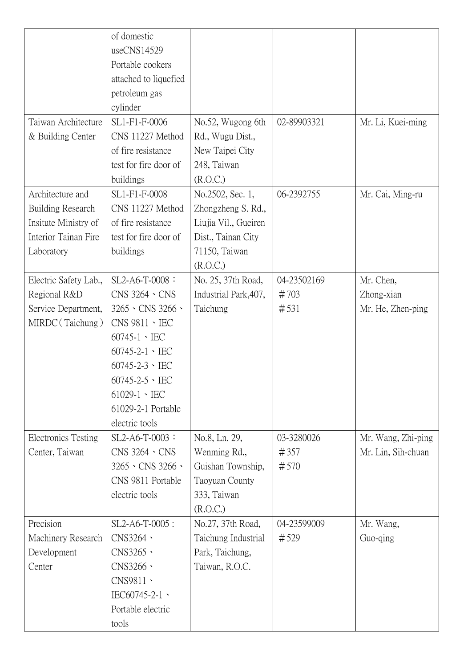|                            | of domestic                      |                       |             |                    |
|----------------------------|----------------------------------|-----------------------|-------------|--------------------|
|                            | useCNS14529                      |                       |             |                    |
|                            | Portable cookers                 |                       |             |                    |
|                            | attached to liquefied            |                       |             |                    |
|                            | petroleum gas                    |                       |             |                    |
|                            | cylinder                         |                       |             |                    |
| Taiwan Architecture        | SL1-F1-F-0006                    | No.52, Wugong 6th     | 02-89903321 | Mr. Li, Kuei-ming  |
| & Building Center          | CNS 11227 Method                 | Rd., Wugu Dist.,      |             |                    |
|                            | of fire resistance               | New Taipei City       |             |                    |
|                            | test for fire door of            | 248, Taiwan           |             |                    |
|                            | buildings                        | (R.O.C.)              |             |                    |
| Architecture and           | SL1-F1-F-0008                    | No.2502, Sec. 1,      | 06-2392755  | Mr. Cai, Ming-ru   |
| <b>Building Research</b>   | CNS 11227 Method                 | Zhongzheng S. Rd.,    |             |                    |
| Insitute Ministry of       | of fire resistance               | Liujia Vil., Gueiren  |             |                    |
| Interior Tainan Fire       | test for fire door of            | Dist., Tainan City    |             |                    |
| Laboratory                 | buildings                        | 71150, Taiwan         |             |                    |
|                            |                                  | (R.O.C.)              |             |                    |
| Electric Safety Lab.,      | SL2-A6-T-0008:                   | No. 25, 37th Road,    | 04-23502169 | Mr. Chen,          |
| Regional R&D               | $CNS 3264 \cdot CNS$             | Industrial Park, 407, | #703        | Zhong-xian         |
| Service Department,        | $3265 \cdot$ CNS 3266 $\cdot$    | Taichung              | #531        | Mr. He, Zhen-ping  |
| MIRDC (Taichung)           | $CNS$ 9811 $\cdot$ IEC           |                       |             |                    |
|                            | $60745 - 1 \cdot \text{IEC}$     |                       |             |                    |
|                            | $60745 - 2 - 1 \cdot \text{IEC}$ |                       |             |                    |
|                            | $60745 - 2 - 3 \cdot \text{IEC}$ |                       |             |                    |
|                            | $60745 - 2 - 5 \cdot \text{IEC}$ |                       |             |                    |
|                            | $61029-1 \cdot \text{IEC}$       |                       |             |                    |
|                            | 61029-2-1 Portable               |                       |             |                    |
|                            | electric tools                   |                       |             |                    |
| <b>Electronics Testing</b> | SL2-A6-T-0003:                   | No.8, Ln. 29,         | 03-3280026  | Mr. Wang, Zhi-ping |
| Center, Taiwan             | $CNS 3264 \cdot CNS$             | Wenming Rd.,          | #357        | Mr. Lin, Sih-chuan |
|                            | $3265 \cdot$ CNS 3266 $\cdot$    | Guishan Township,     | #570        |                    |
|                            | CNS 9811 Portable                | Taoyuan County        |             |                    |
|                            | electric tools                   | 333, Taiwan           |             |                    |
|                            |                                  | (R.O.C.)              |             |                    |
| Precision                  | SL2-A6-T-0005:                   | No.27, 37th Road,     | 04-23599009 | Mr. Wang,          |
| Machinery Research         | CNS3264 \                        | Taichung Industrial   | #529        | Guo-qing           |
| Development                | CNS3265 \                        | Park, Taichung,       |             |                    |
| Center                     | CNS3266 \                        | Taiwan, R.O.C.        |             |                    |
|                            | CNS9811 ·                        |                       |             |                    |
|                            | IEC60745-2-1、                    |                       |             |                    |
|                            | Portable electric                |                       |             |                    |
|                            | tools                            |                       |             |                    |